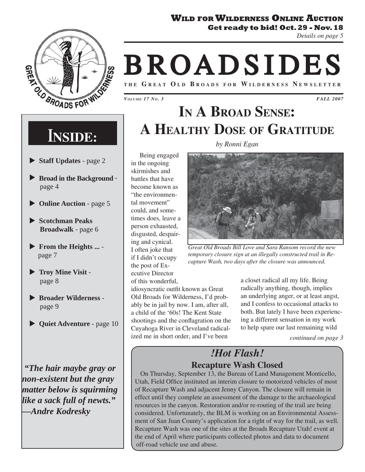### **WILD FOR WILDERNESS ONLINE AUCTION**

**Get ready to bid! Oct. 29 - Nov. 18** 





# **BROADSIDES**

**THE G REAT O L D B ROADS FOR W ILDERNESS N EWSLETTER**

*VOLUME 17 NO. 3*

*FALL 2007*

# **INSIDE:**

- ▶ Staff Updates page 2
- X **Broad in the Background**  page 4
- ▶ Online Auction page 5
- X **Scotchman Peaks Broadwalk** - page 6
- **From the Heights ...** page 7
- $\blacktriangleright$  Troy Mine Visit page 8
- X **Broader Wilderness**  page 9
- X **Quiet Adventure** page 10

 *"The hair maybe gray or non-existent but the gray matter below is squirming like a sack full of newts." —Andre Kodresky*

**IN A BROAD SENSE: A HEALTHY DOSE OF GRATITUDE** *by Ronni Egan*

#### Being engaged in the ongoing skirmishes and battles that have become known as "the environmental movement" could, and sometimes does, leave a person exhausted, disgusted, despairing and cynical. I often joke that if I didn't occupy the post of Executive Director of this wonderful,

idiosyncratic outfit known as Great Old Broads for Wilderness, I'd probably be in jail by now. I am, after all, a child of the '60s! The Kent State shootings and the conflagration on the Cuyahoga River in Cleveland radicalized me in short order, and I've been



*Great Old Broads Bill Love and Sara Ransom record the new temporary closure sign at an illegally constructed trail in Recapture Wash, two days after the closure was announced.*

a closet radical all my life. Being radically anything, though, implies an underlying anger, or at least angst, and I confess to occasional attacks to both. But lately I have been experiencing a different sensation in my work to help spare our last remaining wild

*continued on page 3*

### *!Hot Flash!* **Recapture Wash Closed**

On Thursday, September 13, the Bureau of Land Management Monticello, Utah, Field Office instituted an interim closure to motorized vehicles of most of Recapture Wash and adjacent Jenny Canyon. The closure will remain in effect until they complete an assessment of the damage to the archaeological resources in the canyon. Restoration and/or re-routing of the trail are being considered. Unfortunately, the BLM is working on an Environmental Assessment of San Juan County's application for a right of way for the trail, as well. Recapture Wash was one of the sites at the Broads Recapture Utah! event at the end of April where participants collected photos and data to document off-road vehicle use and abuse.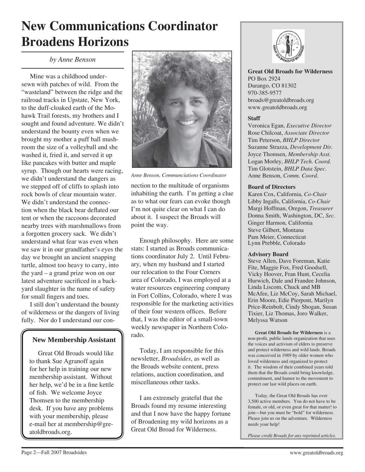# **New Communications Coordinator Broadens Horizons**

*by Anne Benson*

Mine was a childhood undersewn with patches of wild. From the "wasteland" between the ridge and the railroad tracks in Upstate, New York, to the duff-cloaked earth of the Mohawk Trail forests, my brothers and I sought and found adventure. We didn't understand the bounty even when we brought my mother a puff ball mushroom the size of a volleyball and she washed it, fried it, and served it up like pancakes with butter and maple syrup. Though our hearts were racing, we didn't understand the dangers as we stepped off of cliffs to splash into rock bowls of clear mountain water. We didn't understand the connection when the black bear deflated our tent or when the raccoons decorated nearby trees with marshmallows from a forgotten grocery sack. We didn't understand what fear was even when we saw it in our grandfather's eyes the day we brought an ancient snapping turtle, almost too heavy to carry, into the yard – a grand prize won on our latest adventure sacrificed in a backyard slaughter in the name of safety for small fingers and toes.

I still don't understand the bounty of wilderness or the dangers of living fully. Nor do I understand our con-

### **New Membership Assistant**

Great Old Broads would like to thank Sue Agranoff again for her help in training our new membership assistant. Without her help, we'd be in a fine kettle of fish. We welcome Joyce Thomsen to the membership desk. If you have any problems with your membership, please e-mail her at membership@greatoldbroads.org.



*Anne Benson, Communciations Coordinator*

nection to the multitude of organisms inhabiting the earth. I'm getting a clue as to what our fears can evoke though I'm not quite clear on what I can do about it. I suspect the Broads will point the way.

Enough philosophy. Here are some stats: I started as Broads communications coordinator July 2. Until February, when my husband and I started our relocation to the Four Corners area of Colorado, I was employed at a water resources engineering company in Fort Collins, Colorado, where I was responsible for the marketing activities of their four western offices. Before that, I was the editor of a small-town weekly newspaper in Northern Colorado.

Today, I am responsible for this newsletter, *Broadsides*, as well as the Broads website content, press relations, auction coordination, and miscellaneous other tasks.

I am extremely grateful that the Broads found my resume interesting and that I now have the happy fortune of Broadening my wild horizons as a Great Old Broad for Wilderness.



**Great Old Broads for Wilderness** PO Box 2924 Durango, CO 81302 970-385-9577 broads@greatoldbroads.org www.greatoldbroads.org

#### **Staff**

Veronica Egan, *Executive Director* Rose Chilcoat, *Associate Director* Tim Peterson, *BHLP Director* Suzanne Strazza, *Development Dir.* Joyce Thomsen, *Membership Asst.* Logan Morley, *BHLP Tech. Coord.* Tim Glotstein, *BHLP Data Spec.* Anne Benson, *Comm. Coord.*

#### **Board of Directors**

Karen Cox, California, *Co-Chair*  Libby Ingalls, California, *Co-Chair* Margi Hoffman, Oregon, *Treasurer* Donna Smith, Washington, DC, *Sec.* Ginger Harmon*,* California Steve Gilbert, Montana Pam Meier, Connecticut Lynn Prebble, Colorado

#### **Advisory Board**

Steve Allen, Dave Foreman, Katie Fite, Maggie Fox, Fred Goodsell, Vicky Hoover, Fran Hunt, Cecelia Hurwich, Dale and Frandee Johnson, Linda Liscom, Chuck and MB McAfee, Liz McCoy, Sarah Michael, Erin Moore, Edie Pierpont, Marilyn Price-Reinbolt, Cindy Shogan, Susan Tixier, Liz Thomas, Joro Walker, Melyssa Watson

**Great Old Broads for Wilderness** is a non-profit, public lands organization that uses the voices and activism of elders to preserve and protect wilderness and wild lands. Broads was conceived in 1989 by older women who loved wilderness and organized to protect it. The wisdom of their combined years told them that the Broads could bring knowledge, commitment, and humor to the movement to protect our last wild places on earth.

Today, the Great Old Broads has over 3,500 active members. You do not have to be female, or old, or even great for that matter! to join—but you must be "bold" for wilderness. Please join us on the adventure. Wilderness needs your help!

*Please credit Broads for any reprinted articles.*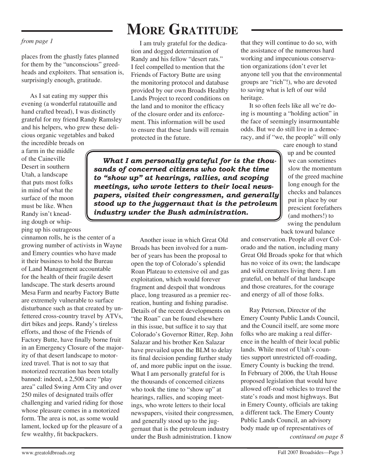#### *from page 1*

places from the ghastly fates planned for them by the "unconscious" greedheads and exploiters. That sensation is, surprisingly enough, gratitude.

As I sat eating my supper this evening (a wonderful ratatouille and hand crafted bread), I was distinctly grateful for my friend Randy Ramsley and his helpers, who grew these delicious organic vegetables and baked

the incredible breads on a farm in the middle of the Caineville Desert in southern Utah, a landscape that puts most folks in mind of what the surface of the moon must be like. When Randy isn't kneading dough or whipping up his outrageous

cinnamon rolls, he is the center of a growing number of activists in Wayne and Emery counties who have made it their business to hold the Bureau of Land Management accountable for the health of their fragile desert landscape. The stark deserts around Mesa Farm and nearby Factory Butte are extremely vulnerable to surface disturbance such as that created by unfettered cross-country travel by ATVs, dirt bikes and jeeps. Randy's tireless efforts, and those of the Friends of Factory Butte, have finally borne fruit in an Emergency Closure of the majority of that desert landscape to motorized travel. That is not to say that motorized recreation has been totally banned: indeed, a 2,500 acre "play area" called Swing Arm City and over 250 miles of designated trails offer challenging and varied riding for those whose pleasure comes in a motorized form. The area is not, as some would lament, locked up for the pleasure of a few wealthy, fit backpackers.

# **MORE GRATITUDE**

I am truly grateful for the dedication and dogged determination of Randy and his fellow "desert rats." I feel compelled to mention that the Friends of Factory Butte are using the monitoring protocol and database provided by our own Broads Healthy Lands Project to record conditions on the land and to monitor the efficacy of the closure order and its enforcement. This information will be used to ensure that these lands will remain protected in the future.

that they will continue to do so, with the assistance of the numerous hard working and impecunious conservation organizations (don't ever let anyone tell you that the environmental groups are "rich"!), who are devoted to saving what is left of our wild heritage.

It so often feels like all we're doing is mounting a "holding action" in the face of seemingly insurmountable odds. But we do still live in a democracy, and if "we, the people" will only

> care enough to stand up and be counted we can sometimes slow the momentum of the greed machine long enough for the checks and balances put in place by our prescient forefathers (and mothers!) to swing the pendulum back toward balance

and conservation. People all over Colorado and the nation, including many Great Old Broads spoke for that which has no voice of its own; the landscape and wild creatures living there. I am grateful, on behalf of that landscape and those creatures, for the courage and energy of all of those folks.

Ray Peterson, Director of the Emery County Public Lands Council, and the Council itself, are some more folks who are making a real difference in the health of their local public lands. While most of Utah's counties support unrestricted off-roading, Emery County is bucking the trend. In February of 2006, the Utah House proposed legislation that would have allowed off-road vehicles to travel the state's roads and most highways. But in Emery County, officials are taking a different tack. The Emery County Public Lands Council, an advisory body made up of representatives of *continued on page 8*

*What I am personally grateful for is the thousands of concerned citizens who took the time to "show up" at hearings, rallies, and scoping meetings, who wrote letters to their local newspapers, visited their congressmen, and generally stood up to the juggernaut that is the petroleum industry under the Bush administration.* 

> Another issue in which Great Old Broads has been involved for a number of years has been the proposal to open the top of Colorado's splendid Roan Plateau to extensive oil and gas exploitation, which would forever fragment and despoil that wondrous place, long treasured as a premier recreation, hunting and fishing paradise. Details of the recent developments on "the Roan" can be found elsewhere in this issue, but suffice it to say that Colorado's Governor Ritter, Rep. John Salazar and his brother Ken Salazar have prevailed upon the BLM to delay its final decision pending further study of, and more public input on the issue. What I am personally grateful for is the thousands of concerned citizens who took the time to "show up" at hearings, rallies, and scoping meetings, who wrote letters to their local newspapers, visited their congressmen, and generally stood up to the juggernaut that is the petroleum industry under the Bush administration. I know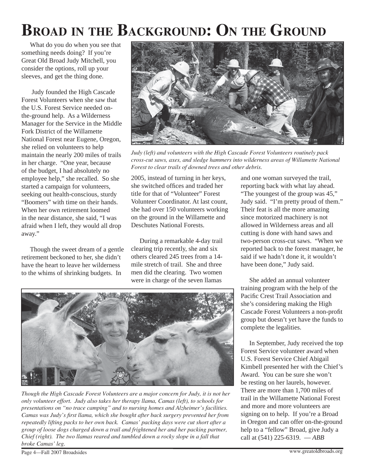# **BROAD IN THE BACKGROUND: ON THE GROUND**

What do you do when you see that something needs doing? If you're Great Old Broad Judy Mitchell, you consider the options, roll up your sleeves, and get the thing done.

 Judy founded the High Cascade Forest Volunteers when she saw that the U.S. Forest Service needed onthe-ground help. As a Wilderness Manager for the Service in the Middle Fork District of the Willamette National Forest near Eugene, Oregon, she relied on volunteers to help maintain the nearly 200 miles of trails in her charge. "One year, because of the budget, I had absolutely no employee help," she recalled. So she started a campaign for volunteers, seeking out health-conscious, sturdy "Boomers" with time on their hands. When her own retirement loomed in the near distance, she said, "I was afraid when I left, they would all drop away."

Though the sweet dream of a gentle retirement beckoned to her, she didn't have the heart to leave her wilderness to the whims of shrinking budgets. In



*Judy (left) and volunteers with the High Cascade Forest Volunteers routinely pack cross-cut saws, axes, and sledge hammers into wilderness areas of Willamette National Forest to clear trails of downed trees and other debris.*

2005, instead of turning in her keys, she switched offices and traded her title for that of "Volunteer" Forest Volunteer Coordinator. At last count, she had over 150 volunteers working on the ground in the Willamette and Deschutes National Forests.

During a remarkable 4-day trail clearing trip recently, she and six others cleared 245 trees from a 14 mile stretch of trail. She and three men did the clearing. Two women were in charge of the seven llamas

and one woman surveyed the trail, reporting back with what lay ahead. "The youngest of the group was 45," Judy said. "I'm pretty proud of them." Their feat is all the more amazing since motorized machinery is not allowed in Wilderness areas and all cutting is done with hand saws and two-person cross-cut saws. "When we reported back to the forest manager, he said if we hadn't done it, it wouldn't have been done," Judy said.

She added an annual volunteer training program with the help of the Pacific Crest Trail Association and she's considering making the High Cascade Forest Volunteers a non-profit group but doesn't yet have the funds to complete the legalities.

In September, Judy received the top Forest Service volunteer award when U.S. Forest Service Chief Abigail Kimbell presented her with the Chief's Award. You can be sure she won't be resting on her laurels, however. There are more than 1,700 miles of trail in the Willamette National Forest and more and more volunteers are signing on to help. If you're a Broad in Oregon and can offer on-the-ground help to a "fellow" Broad, give Judy a call at (541) 225-6319. — *ABB*



*Though the High Cascade Forest Volunteers are a major concern for Judy, it is not her only volunteer effort. Judy also takes her therapy llama, Camas (left), to schools for presentations on "no trace camping" and to nursing homes and Alzheimer's facilities. Camas was Judy's first llama, which she bought after back surgery prevented her from repeatedly lifting packs to her own back. Camas' packing days were cut short after a group of loose dogs charged down a trail and frightened her and her packing partner, Chief (right). The two llamas reared and tumbled down a rocky slope in a fall that broke Camas' leg.* 

Page 4—Fall 2007 Broadsides www.greatoldbroads.org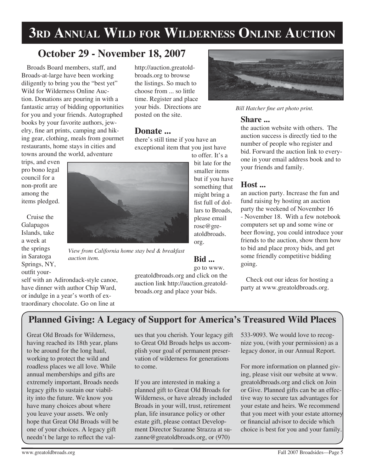# **3RD ANNUAL WILD FOR WILDERNESS ONLINE AUCTION**

### **October 29 - November 18, 2007**

Broads Board members, staff, and Broads-at-large have been working diligently to bring you the "best yet" Wild for Wilderness Online Auction. Donations are pouring in with a fantastic array of bidding opportunities for you and your friends. Autographed books by your favorite authors, jewelry, fine art prints, camping and hiking gear, clothing, meals from gourmet restaurants, home stays in cities and towns around the world, adventure

http://auction.greatoldbroads.org to browse the listings. So much to choose from ... so little time. Register and place your bids. Directions are posted on the site.

### **Donate ...**

there's still time if you have an exceptional item that you just have

to offer. It's a bit late for the smaller items but if you have something that might bring a fist full of dollars to Broads, please email rose@greatoldbroads. org.

### **Bid ...**

go to www.

greatoldbroads.org and click on the auction link http://auction.greatoldbroads.org and place your bids.

**Bill Hatcher fine art photo print.** 

### **Share ...**

the auction website with others. The auction success is directly tied to the number of people who register and bid. Forward the auction link to everyone in your email address book and to your friends and family.

### **Host ...**

an auction party. Increase the fun and fund raising by hosting an auction party the weekend of November 16 - November 18. With a few notebook computers set up and some wine or beer flowing, you could introduce your friends to the auction, show them how to bid and place proxy bids, and get some friendly competitive bidding going.

Check out our ideas for hosting a party at www.greatoldbroads.org.

### **Planned Giving: A Legacy of Support for America's Treasured Wild Places**

Great Old Broads for Wilderness, having reached its 18th year, plans to be around for the long haul, working to protect the wild and roadless places we all love. While annual memberships and gifts are extremely important, Broads needs legacy gifts to sustain our viability into the future. We know you have many choices about where you leave your assets. We only hope that Great Old Broads will be one of your choices. A legacy gift needn't be large to reflect the val-

self with an Adirondack-style canoe, have dinner with author Chip Ward, or indulge in a year's worth of extraordinary chocolate. Go on line at

*auction item.*

ues that you cherish. Your legacy gift to Great Old Broads helps us accomplish your goal of permanent preservation of wilderness for generations to come.

If you are interested in making a planned gift to Great Old Broads for Wilderness, or have already included Broads in your will, trust, retirement plan, life insurance policy or other estate gift, please contact Development Director Suzanne Strazza at suzanne@greatoldbroads.org, or (970)

533-9093. We would love to recognize you, (with your permission) as a legacy donor, in our Annual Report.

For more information on planned giving, please visit our website at www. greatoldbroads.org and click on Join or Give. Planned gifts can be an effective way to secure tax advantages for your estate and heirs. We recommend that you meet with your estate attorney or financial advisor to decide which choice is best for you and your family.



*View from California home stay bed & breakfast* 



trips, and even pro bono legal council for a non-profit are among the items pledged.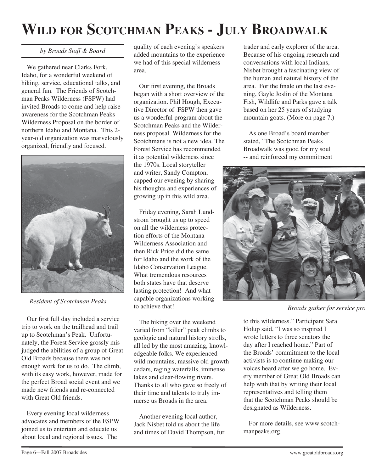# **WILD FOR SCOTCHMAN PEAKS - JULY BROADWALK**

### *by Broads Staff & Board*

We gathered near Clarks Fork, Idaho, for a wonderful weekend of hiking, service, educational talks, and general fun. The Friends of Scotchman Peaks Wilderness (FSPW) had invited Broads to come and help raise awareness for the Scotchman Peaks Wilderness Proposal on the border of northern Idaho and Montana. This 2 year-old organization was marvelously organized, friendly and focused.



*Resident of Scotchman Peaks.*

Our first full day included a service trip to work on the trailhead and trail up to Scotchman's Peak. Unfortunately, the Forest Service grossly misjudged the abilities of a group of Great Old Broads because there was not enough work for us to do. The climb, with its easy work, however, made for the perfect Broad social event and we made new friends and re-connected with Great Old friends.

Every evening local wilderness advocates and members of the FSPW joined us to entertain and educate us about local and regional issues. The

quality of each evening's speakers added mountains to the experience we had of this special wilderness area.

Our first evening, the Broads began with a short overview of the organization. Phil Hough, Executive Director of FSPW then gave us a wonderful program about the Scotchman Peaks and the Wilderness proposal. Wilderness for the Scotchmans is not a new idea. The Forest Service has recommended it as potential wilderness since the 1970s. Local storyteller and writer, Sandy Compton, capped our evening by sharing his thoughts and experiences of growing up in this wild area.

Friday evening, Sarah Lundstrom brought us up to speed on all the wilderness protection efforts of the Montana Wilderness Association and then Rick Price did the same for Idaho and the work of the Idaho Conservation League. What tremendous resources both states have that deserve lasting protection! And what capable organizations working to achieve that!

The hiking over the weekend varied from "killer" peak climbs to geologic and natural history strolls, all led by the most amazing, knowledgeable folks. We experienced wild mountains, massive old growth cedars, raging waterfalls, immense lakes and clear-flowing rivers. Thanks to all who gave so freely of their time and talents to truly immerse us Broads in the area.

Another evening local author, Jack Nisbet told us about the life and times of David Thompson, fur trader and early explorer of the area. Because of his ongoing research and conversations with local Indians, Nisbet brought a fascinating view of the human and natural history of the area. For the finale on the last evening, Gayle Joslin of the Montana Fish, Wildlife and Parks gave a talk based on her 25 years of studying mountain goats. (More on page 7.)

As one Broad's board member stated, "The Scotchman Peaks Broadwalk was good for my soul -- and reinforced my commitment



*Broads gather for service pro*

to this wilderness." Participant Sara Holup said, "I was so inspired I wrote letters to three senators the day after I reached home." Part of the Broads' commitment to the local activists is to continue making our voices heard after we go home. Every member of Great Old Broads can help with that by writing their local representatives and telling them that the Scotchman Peaks should be designated as Wilderness.

For more details, see www.scotchmanpeaks.org.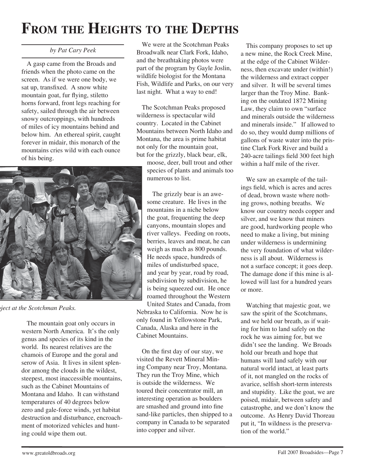# **FROM THE HEIGHTS TO THE DEPTHS**

#### *by Pat Cary Peek*

A gasp came from the Broads and friends when the photo came on the screen. As if we were one body, we sat up, transfixed. A snow white mountain goat, fur flying, stiletto horns forward, front legs reaching for safety, sailed through the air between snowy outcroppings, with hundreds of miles of icy mountains behind and below him. An ethereal spirit, caught forever in midair, this monarch of the mountains cries wild with each ounce of his being.



*oject at the Scotchman Peaks.*

The mountain goat only occurs in western North America. It's the only genus and species of its kind in the world. Its nearest relatives are the chamois of Europe and the goral and serow of Asia. It lives in silent splendor among the clouds in the wildest, steepest, most inaccessible mountains, such as the Cabinet Mountains of Montana and Idaho. It can withstand temperatures of 40 degrees below zero and gale-force winds, yet habitat destruction and disturbance, encroachment of motorized vehicles and hunting could wipe them out.

We were at the Scotchman Peaks Broadwalk near Clark Fork, Idaho, and the breathtaking photos were part of the program by Gayle Joslin, wildlife biologist for the Montana Fish, Wildlife and Parks, on our very last night. What a way to end!

The Scotchman Peaks proposed wilderness is spectacular wild country. Located in the Cabinet Mountains between North Idaho and Montana, the area is prime habitat not only for the mountain goat, but for the grizzly, black bear, elk,

moose, deer, bull trout and other species of plants and animals too numerous to list.

The grizzly bear is an awesome creature. He lives in the mountains in a niche below the goat, frequenting the deep canyons, mountain slopes and river valleys. Feeding on roots, berries, leaves and meat, he can weigh as much as 800 pounds. He needs space, hundreds of miles of undisturbed space, and year by year, road by road, subdivision by subdivision, he is being squeezed out. He once roamed throughout the Western United States and Canada, from Nebraska to California. Now he is only found in Yellowstone Park, Canada, Alaska and here in the Cabinet Mountains.

On the first day of our stay, we visited the Revett Mineral Mining Company near Troy, Montana. They run the Troy Mine, which is outside the wilderness. We toured their concentrator mill, an interesting operation as boulders are smashed and ground into fine sand-like particles, then shipped to a company in Canada to be separated into copper and silver.

This company proposes to set up a new mine, the Rock Creek Mine, at the edge of the Cabinet Wilderness, then excavate under (within!) the wilderness and extract copper and silver. It will be several times larger than the Troy Mine. Banking on the outdated 1872 Mining Law, they claim to own "surface and minerals outside the wilderness and minerals inside." If allowed to do so, they would dump millions of gallons of waste water into the pristine Clark Fork River and build a 240-acre tailings field 300 feet high within a half mile of the river.

We saw an example of the tailings field, which is acres and acres of dead, brown waste where nothing grows, nothing breaths. We know our country needs copper and silver, and we know that miners are good, hardworking people who need to make a living, but mining under wilderness is undermining the very foundation of what wilderness is all about. Wilderness is not a surface concept; it goes deep. The damage done if this mine is allowed will last for a hundred years or more.

Watching that majestic goat, we saw the spirit of the Scotchmans, and we held our breath, as if waiting for him to land safely on the rock he was aiming for, but we didn't see the landing. We Broads hold our breath and hope that humans will land safely with our natural world intact, at least parts of it, not mangled on the rocks of avarice, selfish short-term interests and stupidity. Like the goat, we are poised, midair, between safety and catastrophe, and we don't know the outcome. As Henry David Thoreau put it, "In wildness is the preservation of the world."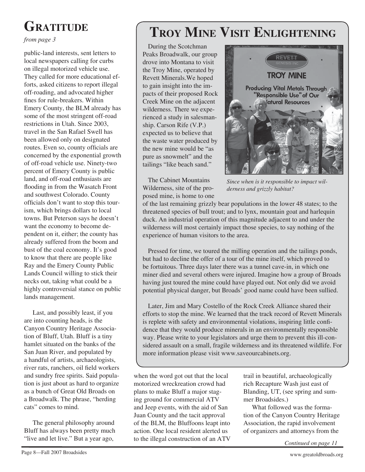# **GRATITUDE**

*from page 3*

public-land interests, sent letters to local newspapers calling for curbs on illegal motorized vehicle use. They called for more educational efforts, asked citizens to report illegal off-roading, and advocated higher fines for rule-breakers. Within Emery County, the BLM already has some of the most stringent off-road restrictions in Utah. Since 2003, travel in the San Rafael Swell has been allowed only on designated routes. Even so, county officials are concerned by the exponential growth of off-road vehicle use. Ninety-two percent of Emery County is public land, and off-road enthusiasts are flooding in from the Wasatch Front and southwest Colorado. County officials don't want to stop this tourism, which brings dollars to local towns. But Peterson says he doesn't want the economy to become dependent on it, either; the county has already suffered from the boom and bust of the coal economy. It's good to know that there are people like Ray and the Emery County Public Lands Council willing to stick their necks out, taking what could be a highly controversial stance on public lands management.

Last, and possibly least, if you are into counting heads, is the Canyon Country Heritage Association of Bluff, Utah. Bluff is a tiny hamlet situated on the banks of the San Juan River, and populated by a handful of artists, archaeologists, river rats, ranchers, oil field workers and sundry free spirits. Said population is just about as hard to organize as a bunch of Great Old Broads on a Broadwalk. The phrase, "herding cats" comes to mind.

The general philosophy around Bluff has always been pretty much "live and let live." But a year ago,

# **TROY MINE VISIT ENLIGHTENING**

During the Scotchman Peaks Broadwalk, our group drove into Montana to visit the Troy Mine, operated by Revett Minerals.We hoped to gain insight into the impacts of their proposed Rock Creek Mine on the adjacent wilderness. There we experienced a study in salesmanship. Carson Rife (V.P.) expected us to believe that the waste water produced by the new mine would be "as pure as snowmelt" and the tailings "like beach sand."

The Cabinet Mountains Wilderness, site of the proposed mine, is home to one



*Since when is it responsible to impact wilderness and grizzly habitat?*

of the last remaining grizzly bear populations in the lower 48 states; to the threatened species of bull trout; and to lynx, mountain goat and harlequin duck. An industrial operation of this magnitude adjacent to and under the wilderness will most certainly impact those species, to say nothing of the experience of human visitors to the area.

Pressed for time, we toured the milling operation and the tailings ponds, but had to decline the offer of a tour of the mine itself, which proved to be fortuitous. Three days later there was a tunnel cave-in, in which one miner died and several others were injured. Imagine how a group of Broads having just toured the mine could have played out. Not only did we avoid potential physical danger, but Broads' good name could have been sullied.

Later, Jim and Mary Costello of the Rock Creek Alliance shared their efforts to stop the mine. We learned that the track record of Revett Minerals is replete with safety and environmental violations, inspiring little confidence that they would produce minerals in an environmentally responsible way. Please write to your legislators and urge them to prevent this ill-considered assault on a small, fragile wilderness and its threatened wildlife. For more information please visit www.saveourcabinets.org.

when the word got out that the local motorized wreckreation crowd had plans to make Bluff a major staging ground for commercial ATV and Jeep events, with the aid of San Juan County and the tacit approval of the BLM, the Bluffoons leapt into action. One local resident alerted us to the illegal construction of an ATV trail in beautiful, archaeologically rich Recapture Wash just east of Blanding, UT, (see spring and summer Broadsides.)

What followed was the formation of the Canyon Country Heritage Association, the rapid involvement of organizers and attorneys from the

*Continued on page 11*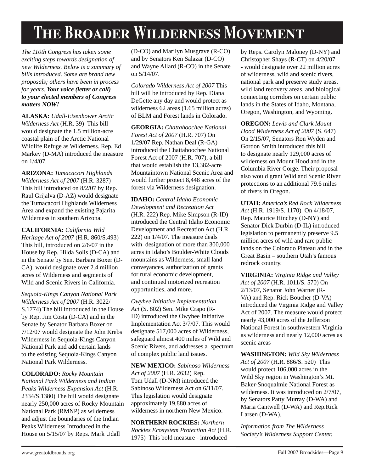# **THE BROADER WILDERNESS MOVEMENT**

*The 110th Congress has taken some exciting steps towards designation of new Wilderness. Below is a summary of bills introduced. Some are brand new proposals; others have been in process for years. Your voice (letter or call) to your elected members of Congress matters NOW!*

**ALASKA:** *Udall-Eisenhower Arctic Wilderness Act* (H.R. 39) This bill would designate the 1.5 million-acre coastal plain of the Arctic National Wildlife Refuge as Wilderness. Rep. Ed Markey (D-MA) introduced the measure on 1/4/07.

**ARIZONA:** *Tumacacori Highlands Wilderness Act of 2007* (H.R. 3287) This bill introduced on 8/2/07 by Rep. Raul Grijalva (D-AZ) would designate the Tumacacori Highlands Wilderness Area and expand the existing Pajarita Wilderness in southern Arizona.

**CALIFORNIA:** *California Wild Heritage Act of 2007* (H.R. 860/S.493) This bill, introduced on 2/6/07 in the House by Rep. Hilda Solis (D-CA) and in the Senate by Sen. Barbara Boxer (D-CA), would designate over 2.4 million acres of Wilderness and segments of Wild and Scenic Rivers in California.

*Sequoia-Kings Canyon National Park Wilderness Act of 2007* (H.R. 3022/ S.1774) The bill introduced in the House by Rep. Jim Costa (D-CA) and in the Senate by Senator Barbara Boxer on 7/12/07 would designate the John Krebs Wilderness in Sequoia-Kings Canyon National Park and add certain lands to the existing Sequoia-Kings Canyon National Park Wilderness.

**COLORADO:** *Rocky Mountain National Park Wilderness and Indian Peaks Wilderness Expansion Act* (H.R. 2334/S.1380) The bill would designate nearly 250,000 acres of Rocky Mountain National Park (RMNP) as wilderness and adjust the boundaries of the Indian Peaks Wilderness Introduced in the House on 5/15/07 by Reps. Mark Udall

(D-CO) and Marilyn Musgrave (R-CO) and by Senators Ken Salazar (D-CO) and Wayne Allard (R-CO) in the Senate on 5/14/07.

*Colorado Wilderness Act of 2007* This bill will be introduced by Rep. Diana DeGette any day and would protect as wilderness 62 areas (1.65 million acres) of BLM and Forest lands in Colorado.

**GEORGIA:** *Chattahoochee National Forest Act of 2007* (H.R. 707) On 1/29/07 Rep. Nathan Deal (R-GA) introduced the Chattahoochee National Forest Act of 2007 (H.R. 707), a bill that would establish the 13,382-acre Mountaintown National Scenic Area and would further protect 8,448 acres of the forest via Wilderness designation.

**IDAHO:** *Central Idaho Economic Development and Recreation Act*  (H.R. 222) Rep. Mike Simpson (R-ID) introduced the Central Idaho Economic Development and Recreation Act (H.R. 222) on 1/4/07. The measure deals with designation of more than 300,000 acres in Idaho's Boulder-White Clouds mountains as Wilderness, small land conveyances, authorization of grants for rural economic development, and continued motorized recreation opportunities, and more.

*Owyhee Initiative Implementation Act* (S. 802) Sen. Mike Crapo (R-ID) introduced the Owyhee Initiative Implementation Act 3/7/07. This would designate 517,000 acres of Wilderness, safeguard almost 400 miles of Wild and Scenic Rivers, and addresses a spectrum of complex public land issues.

**NEW MEXICO:** *Sabinoso Wilderness Act of 2007* (H.R. 2632) Rep. Tom Udall (D-NM) introduced the Sabinoso Wilderness Act on 6/11/07. This legislation would designate approximately 19,880 acres of wilderness in northern New Mexico.

**NORTHERN ROCKIES:** *Northern Rockies Ecosystem Protection Act* (H.R. 1975) This bold measure - introduced

by Reps. Carolyn Maloney (D-NY) and Christopher Shays (R-CT) on 4/20/07 - would designate over 22 million acres of wilderness, wild and scenic rivers, national park and preserve study areas, wild land recovery areas, and biological connecting corridors on certain public lands in the States of Idaho, Montana, Oregon, Washington, and Wyoming.

**OREGON:** *Lewis and Clark Mount Hood Wilderness Act of 2007* (S. 647) On 2/15/07, Senators Ron Wyden and Gordon Smith introduced this bill to designate nearly 129,000 acres of wilderness on Mount Hood and in the Columbia River Gorge. Their proposal also would grant Wild and Scenic River protections to an additional 79.6 miles of rivers in Oregon.

**UTAH:** *America's Red Rock Wilderness Act* (H.R. 1919/S. 1170) On 4/18/07, Rep. Maurice Hinchey (D-NY) and Senator Dick Durbin (D-IL) introduced legislation to permanently preserve 9.5 million acres of wild and rare public lands on the Colorado Plateau and in the Great Basin – southern Utah's famous redrock country.

**VIRGINIA:** *Virginia Ridge and Valley Act of 2007* (H.R. 1011/S. 570) On 2/13/07, Senator John Warner (R-VA) and Rep. Rick Boucher (D-VA) introduced the Virginia Ridge and Valley Act of 2007. The measure would protect nearly 43,000 acres of the Jefferson National Forest in southwestern Virginia as wilderness and nearly 12,000 acres as scenic areas

**WASHINGTON:** *Wild Sky Wilderness Act of 2007* (H.R. 886/S. 520) This would protect 106,000 acres in the Wild Sky region in Washington's Mt. Baker-Snoqualmie National Forest as wilderness. It was introduced on 2/7/07, by Senators Patty Murray (D-WA) and Maria Cantwell (D-WA) and Rep.Rick Larsen (D-WA).

*Information from The Wilderness Society's Wilderness Support Center.*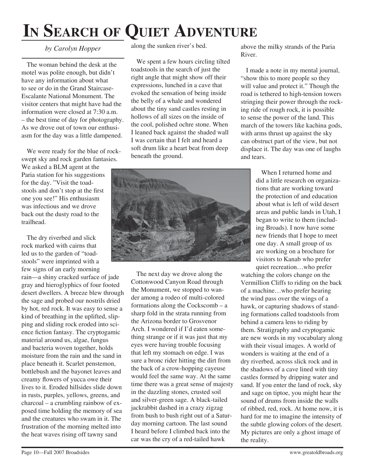# **IN SEARCH OF QUIET ADVENTURE**

### *by Carolyn Hopper*

The woman behind the desk at the motel was polite enough, but didn't have any information about what to see or do in the Grand Staircase-Escalante National Monument. The visitor centers that might have had the information were closed at 7:30 a.m. – the best time of day for photography. As we drove out of town our enthusiasm for the day was a little dampened.

We were ready for the blue of rockswept sky and rock garden fantasies.

We asked a BLM agent at the Paria station for his suggestions for the day. "Visit the toadstools and don't stop at the first one you see!" His enthusiasm was infectious and we drove back out the dusty road to the trailhead.

The dry riverbed and slick rock marked with cairns that led us to the garden of "toadstools" were imprinted with a few signs of an early morning

rain—a shiny cracked surface of jade gray and hieroglyphics of four footed desert dwellers. A breeze blew through the sage and probed our nostrils dried by hot, red rock. It was easy to sense a kind of breathing in the uplifted, slipping and sliding rock eroded into science fiction fantasy. The cryptogamic material around us, algae, fungus and bacteria woven together, holds moisture from the rain and the sand in place beneath it. Scarlet penstemon, bottlebush and the bayonet leaves and creamy flowers of yucca owe their lives to it. Eroded hillsides slide down in rusts, purples, yellows, greens, and charcoal – a crumbling rainbow of exposed time holding the memory of sea and the creatures who swam in it. The frustration of the morning melted into the heat waves rising off tawny sand

along the sunken river's bed.

We spent a few hours circling tilted toadstools in the search of just the right angle that might show off their expressions, lunched in a cave that evoked the sensation of being inside the belly of a whale and wondered about the tiny sand castles resting in hollows of all sizes on the inside of the cool, polished ochre stone. When I leaned back against the shaded wall I was certain that I felt and heard a soft drum like a heart beat from deep beneath the ground.



The next day we drove along the Cottonwood Canyon Road through the Monument, we stopped to wander among a rodeo of multi-colored formations along the Cockscomb – a sharp fold in the strata running from the Arizona border to Grosvenor Arch. I wondered if I'd eaten something strange or if it was just that my eyes were having trouble focusing that left my stomach on edge. I was sure a bronc rider hitting the dirt from the back of a crow-hopping cayeuse would feel the same way. At the same time there was a great sense of majesty in the dazzling stones, crusted soil and silver-green sage. A black-tailed jackrabbit dashed in a crazy zigzag from bush to bush right out of a Saturday morning cartoon. The last sound I heard before I climbed back into the car was the cry of a red-tailed hawk

above the milky strands of the Paria River.

I made a note in my mental journal, "show this to more people so they will value and protect it." Though the road is tethered to high-tension towers stringing their power through the rocking ride of rough rock, it is possible to sense the power of the land. This march of the towers like kachina gods, with arms thrust up against the sky can obstruct part of the view, but not displace it. The day was one of laughs and tears.

> When I returned home and did a little research on organizations that are working toward the protection of and education about what is left of wild desert areas and public lands in Utah, I began to write to them (including Broads). I now have some new friends that I hope to meet one day. A small group of us are working on a brochure for visitors to Kanab who prefer quiet recreation…who prefer

watching the colors change on the Vermillion Cliffs to riding on the back of a machine…who prefer hearing the wind pass over the wings of a hawk, or capturing shadows of standing formations called toadstools from behind a camera lens to riding by them. Stratigraphy and cryptogamic are new words in my vocabulary along with their visual images. A world of wonders is waiting at the end of a dry riverbed, across slick rock and in the shadows of a cave lined with tiny castles formed by dripping water and sand. If you enter the land of rock, sky and sage on tiptoe, you might hear the sound of drums from inside the walls of ribbed, red, rock. At home now, it is hard for me to imagine the intensity of the subtle glowing colors of the desert. My pictures are only a ghost image of the reality.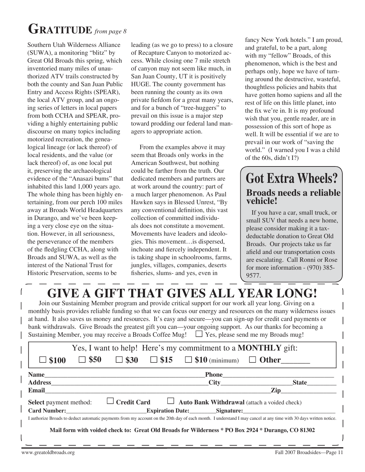# **GRATITUDE** *from page 8*

Southern Utah Wilderness Alliance (SUWA), a monitoring "blitz" by Great Old Broads this spring, which inventoried many miles of unauthorized ATV trails constructed by both the county and San Juan Public Entry and Access Rights (SPEAR), the local ATV group, and an ongoing series of letters in local papers from both CCHA and SPEAR, providing a highly entertaining public discourse on many topics including motorized recreation, the genealogical lineage (or lack thereof) of local residents, and the value (or lack thereof) of, as one local put it, preserving the archaeological evidence of the "Anasazi bums" that inhabited this land 1,000 years ago. The whole thing has been highly entertaining, from our perch 100 miles away at Broads World Headquarters in Durango, and we've been keeping a very close eye on the situation. However, in all seriousness, the perseverance of the members of the fledgling CCHA, along with Broads and SUWA, as well as the interest of the National Trust for Historic Preservation, seems to be

leading (as we go to press) to a closure of Recapture Canyon to motorized access. While closing one 7 mile stretch of canyon may not seem like much, in San Juan County, UT it is positively HUGE. The county government has been running the county as its own private fiefdom for a great many years, and for a bunch of "tree-huggers" to prevail on this issue is a major step toward prodding our federal land managers to appropriate action.

From the examples above it may seem that Broads only works in the American Southwest, but nothing could be farther from the truth. Our dedicated members and partners are at work around the country: part of a much larger phenomenon. As Paul Hawken says in Blessed Unrest, "By any conventional definition, this vast collection of committed individuals does not constitute a movement. Movements have leaders and ideologies. This movement…is dispersed, inchoate and fiercely independent. It is taking shape in schoolrooms, farms, jungles, villages, companies, deserts fisheries, slums- and yes, even in

fancy New York hotels." I am proud, and grateful, to be a part, along with my "fellow" Broads, of this phenomenon, which is the best and perhaps only, hope we have of turning around the destructive, wasteful, thoughtless policies and habits that have gotten homo sapiens and all the rest of life on this little planet, into the fix we're in. It is my profound wish that you, gentle reader, are in possession of this sort of hope as well. It will be essential if we are to prevail in our work of "saving the world." (I warned you I was a child of the 60s, didn't I?)

## **Broads needs a reliable vehicle! Got Extra Wheels?**

If you have a car, small truck, or small SUV that needs a new home, please consider making it a taxdeductable donation to Great Old Broads. Our projects take us far afield and our transportation costs are escalating. Call Ronni or Rose for more information - (970) 385- 9577.

# **GIVE A GIFT THAT GIVES ALL YEAR LONG!**

Join our Sustaining Member program and provide critical support for our work all year long. Giving on a monthly basis provides reliable funding so that we can focus our energy and resources on the many wilderness issues at hand. It also saves us money and resources. It's easy and secure—you can sign-up for credit card payments or bank withdrawals. Give Broads the greatest gift you can—your ongoing support. As our thanks for becoming a Sustaining Member, you may receive a Broads Coffee Mug!  $\Box$  Yes, please send me my Broads mug!

| <b>Name</b><br><b>Phone</b><br>$\overline{\text{City}}$<br>State <sub>_______</sub><br>Zip<br>Email<br>$\Box$ Credit Card $\Box$ Auto Bank Withdrawal (attach a voided check) | Yes, I want to help! Here's my commitment to a <b>MONTHLY</b> gift:<br>$\Box$ \$50 $\Box$ \$30 $\Box$ \$15 $\Box$ \$10 (minimum) $\Box$ Other |  |
|-------------------------------------------------------------------------------------------------------------------------------------------------------------------------------|-----------------------------------------------------------------------------------------------------------------------------------------------|--|
| <b>Address</b><br>Select payment method:                                                                                                                                      |                                                                                                                                               |  |
|                                                                                                                                                                               |                                                                                                                                               |  |
|                                                                                                                                                                               |                                                                                                                                               |  |
|                                                                                                                                                                               |                                                                                                                                               |  |
| Card Number: Expiration Date: Signature: Signature:                                                                                                                           |                                                                                                                                               |  |
| I authorize Broads to deduct automatic payments from my account on the 20th day of each month. I understand I may cancel at any time with 30 days written notice.             |                                                                                                                                               |  |